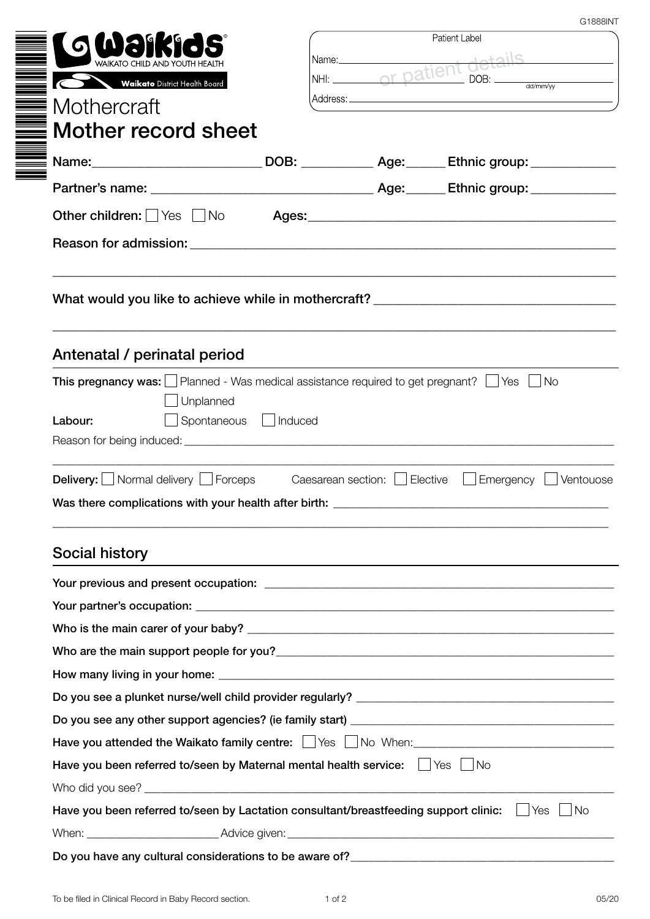| <b>JO WAIKI</b>                                                                                                |                          | Patient Label<br>Name: Name and the state of the state of the state of the state of the state of the state of the state of the state of the state of the state of the state of the state of the state of the state of the state of the state of |                                                                                  |  |
|----------------------------------------------------------------------------------------------------------------|--------------------------|-------------------------------------------------------------------------------------------------------------------------------------------------------------------------------------------------------------------------------------------------|----------------------------------------------------------------------------------|--|
| WAIKATO CHILD AND YOUTH HEALTH                                                                                 |                          | NHI: or patient                                                                                                                                                                                                                                 | DOB:                                                                             |  |
| Waikato District Health Board                                                                                  |                          |                                                                                                                                                                                                                                                 |                                                                                  |  |
| Mothercraft                                                                                                    |                          |                                                                                                                                                                                                                                                 |                                                                                  |  |
| $\equiv$ Mother record sheet                                                                                   |                          |                                                                                                                                                                                                                                                 |                                                                                  |  |
| -<br>  Name:____________________________DOB: ____________Age:_______Ethnic group: ______________               |                          |                                                                                                                                                                                                                                                 |                                                                                  |  |
|                                                                                                                |                          |                                                                                                                                                                                                                                                 |                                                                                  |  |
| Other children: Ves UNo                                                                                        |                          |                                                                                                                                                                                                                                                 |                                                                                  |  |
|                                                                                                                |                          |                                                                                                                                                                                                                                                 |                                                                                  |  |
|                                                                                                                |                          |                                                                                                                                                                                                                                                 |                                                                                  |  |
| Antenatal / perinatal period                                                                                   |                          |                                                                                                                                                                                                                                                 |                                                                                  |  |
| <b>This pregnancy was:</b> $\Box$ Planned - Was medical assistance required to get pregnant? $\Box$ Yes $\Box$ |                          |                                                                                                                                                                                                                                                 | <b>No</b>                                                                        |  |
|                                                                                                                |                          |                                                                                                                                                                                                                                                 |                                                                                  |  |
| Unplanned                                                                                                      |                          |                                                                                                                                                                                                                                                 |                                                                                  |  |
| Labour:                                                                                                        | Spontaneous  <br>Induced |                                                                                                                                                                                                                                                 |                                                                                  |  |
|                                                                                                                |                          |                                                                                                                                                                                                                                                 |                                                                                  |  |
| <b>Delivery:</b> Normal delivery Forceps Caesarean section: Elective Emergency                                 |                          |                                                                                                                                                                                                                                                 | Ventouose                                                                        |  |
| Was there complications with your health after birth: __________                                               |                          |                                                                                                                                                                                                                                                 |                                                                                  |  |
|                                                                                                                |                          |                                                                                                                                                                                                                                                 |                                                                                  |  |
| Social history                                                                                                 |                          |                                                                                                                                                                                                                                                 | ,我们也不能在这里的时候,我们也不能会在这里,我们也不能会在这里的时候,我们也不能会在这里的时候,我们也不能会在这里的时候,我们也不能会在这里的时候,我们也不能 |  |
|                                                                                                                |                          |                                                                                                                                                                                                                                                 |                                                                                  |  |
|                                                                                                                |                          |                                                                                                                                                                                                                                                 |                                                                                  |  |
|                                                                                                                |                          |                                                                                                                                                                                                                                                 |                                                                                  |  |
|                                                                                                                |                          |                                                                                                                                                                                                                                                 |                                                                                  |  |
|                                                                                                                |                          |                                                                                                                                                                                                                                                 |                                                                                  |  |
|                                                                                                                |                          |                                                                                                                                                                                                                                                 |                                                                                  |  |
|                                                                                                                |                          |                                                                                                                                                                                                                                                 |                                                                                  |  |
| Have you attended the Waikato family centre: $\Box$ Yes $\Box$ No When:                                        |                          |                                                                                                                                                                                                                                                 |                                                                                  |  |
| Have you been referred to/seen by Maternal mental health service: $\Box$ Yes $\Box$ No                         |                          |                                                                                                                                                                                                                                                 |                                                                                  |  |
|                                                                                                                |                          |                                                                                                                                                                                                                                                 |                                                                                  |  |
| Have you been referred to/seen by Lactation consultant/breastfeeding support clinic:                           |                          |                                                                                                                                                                                                                                                 | Yes    No                                                                        |  |